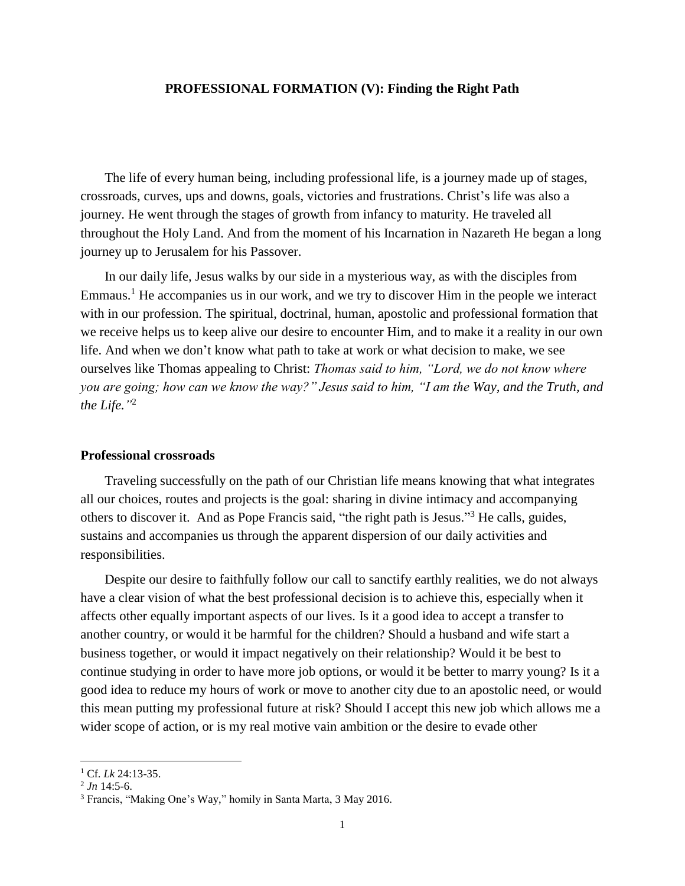## **PROFESSIONAL FORMATION (V): Finding the Right Path**

The life of every human being, including professional life, is a journey made up of stages, crossroads, curves, ups and downs, goals, victories and frustrations. Christ's life was also a journey. He went through the stages of growth from infancy to maturity. He traveled all throughout the Holy Land. And from the moment of his Incarnation in Nazareth He began a long journey up to Jerusalem for his Passover.

In our daily life, Jesus walks by our side in a mysterious way, as with the disciples from Emmaus.<sup>1</sup> He accompanies us in our work, and we try to discover Him in the people we interact with in our profession. The spiritual, doctrinal, human, apostolic and professional formation that we receive helps us to keep alive our desire to encounter Him, and to make it a reality in our own life. And when we don't know what path to take at work or what decision to make, we see ourselves like Thomas appealing to Christ: *Thomas said to him, "Lord, we do not know where you are going; how can we know the way?" Jesus said to him, "I am the Way, and the Truth, and the Life."* 2

# **Professional crossroads**

Traveling successfully on the path of our Christian life means knowing that what integrates all our choices, routes and projects is the goal: sharing in divine intimacy and accompanying others to discover it. And as Pope Francis said, "the right path is Jesus."<sup>3</sup> He calls, guides, sustains and accompanies us through the apparent dispersion of our daily activities and responsibilities.

Despite our desire to faithfully follow our call to sanctify earthly realities, we do not always have a clear vision of what the best professional decision is to achieve this, especially when it affects other equally important aspects of our lives. Is it a good idea to accept a transfer to another country, or would it be harmful for the children? Should a husband and wife start a business together, or would it impact negatively on their relationship? Would it be best to continue studying in order to have more job options, or would it be better to marry young? Is it a good idea to reduce my hours of work or move to another city due to an apostolic need, or would this mean putting my professional future at risk? Should I accept this new job which allows me a wider scope of action, or is my real motive vain ambition or the desire to evade other

 $\overline{\phantom{a}}$ 

<sup>1</sup> Cf. *Lk* 24:13-35.

 $^{2}$  Jn 14:5-6.

<sup>3</sup> Francis, "Making One's Way," homily in Santa Marta, 3 May 2016.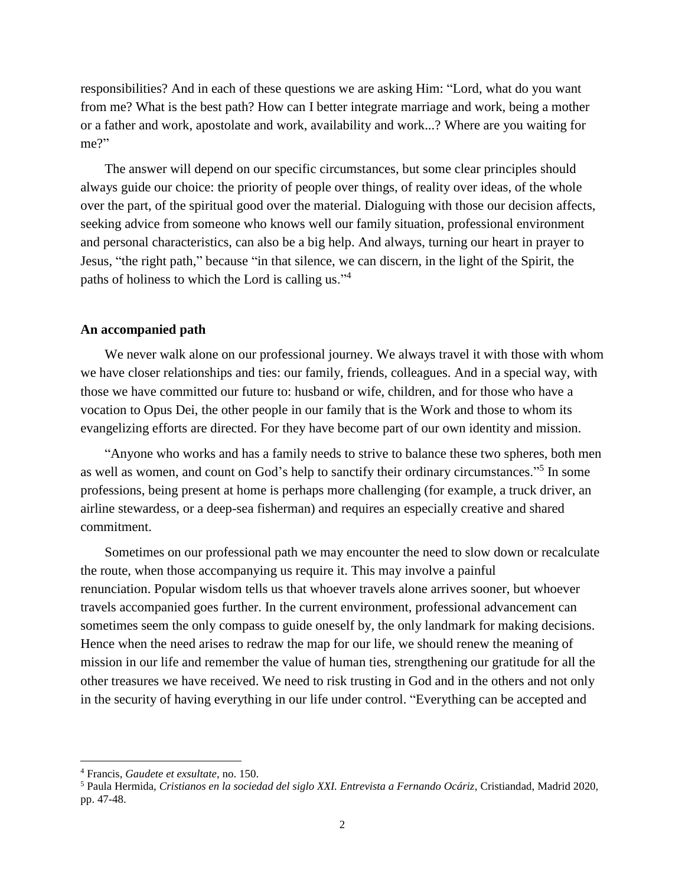responsibilities? And in each of these questions we are asking Him: "Lord, what do you want from me? What is the best path? How can I better integrate marriage and work, being a mother or a father and work, apostolate and work, availability and work...? Where are you waiting for me?"

The answer will depend on our specific circumstances, but some clear principles should always guide our choice: the priority of people over things, of reality over ideas, of the whole over the part, of the spiritual good over the material. Dialoguing with those our decision affects, seeking advice from someone who knows well our family situation, professional environment and personal characteristics, can also be a big help. And always, turning our heart in prayer to Jesus, "the right path," because "in that silence, we can discern, in the light of the Spirit, the paths of holiness to which the Lord is calling us."<sup>4</sup>

#### **An accompanied path**

We never walk alone on our professional journey. We always travel it with those with whom we have closer relationships and ties: our family, friends, colleagues. And in a special way, with those we have committed our future to: husband or wife, children, and for those who have a vocation to Opus Dei, the other people in our family that is the Work and those to whom its evangelizing efforts are directed. For they have become part of our own identity and mission.

"Anyone who works and has a family needs to strive to balance these two spheres, both men as well as women, and count on God's help to sanctify their ordinary circumstances."<sup>5</sup> In some professions, being present at home is perhaps more challenging (for example, a truck driver, an airline stewardess, or a deep-sea fisherman) and requires an especially creative and shared commitment.

Sometimes on our professional path we may encounter the need to slow down or recalculate the route, when those accompanying us require it. This may involve a painful renunciation. Popular wisdom tells us that whoever travels alone arrives sooner, but whoever travels accompanied goes further. In the current environment, professional advancement can sometimes seem the only compass to guide oneself by, the only landmark for making decisions. Hence when the need arises to redraw the map for our life, we should renew the meaning of mission in our life and remember the value of human ties, strengthening our gratitude for all the other treasures we have received. We need to risk trusting in God and in the others and not only in the security of having everything in our life under control. "Everything can be accepted and

 $\overline{\phantom{a}}$ 

<sup>4</sup> Francis, *Gaudete et exsultate*, no. 150.

<sup>5</sup> Paula Hermida, *Cristianos en la sociedad del siglo XXI. Entrevista a Fernando Ocáriz*, Cristiandad, Madrid 2020, pp. 47-48.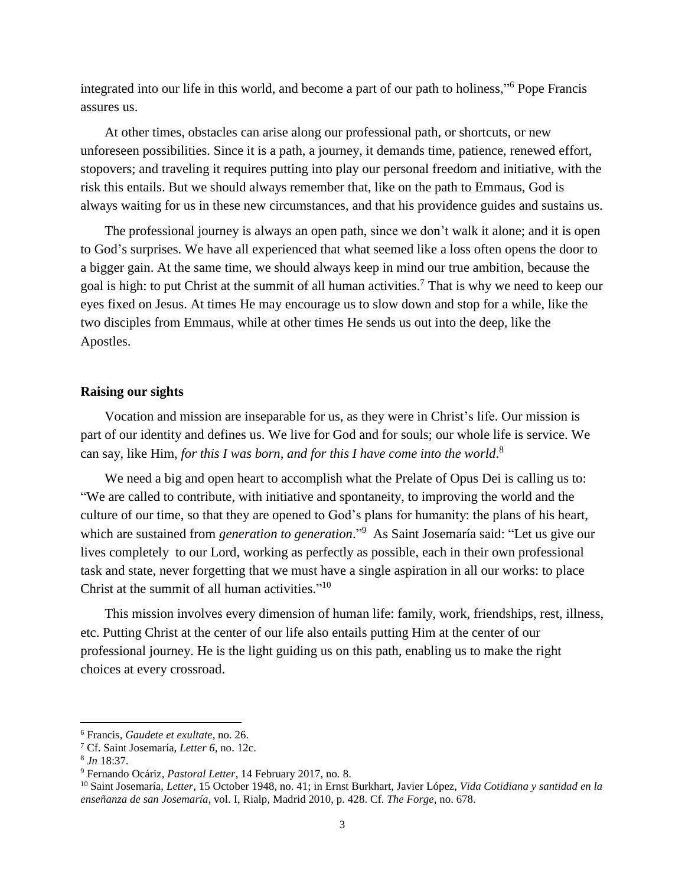integrated into our life in this world, and become a part of our path to holiness," <sup>6</sup> Pope Francis assures us.

At other times, obstacles can arise along our professional path, or shortcuts, or new unforeseen possibilities. Since it is a path, a journey, it demands time, patience, renewed effort, stopovers; and traveling it requires putting into play our personal freedom and initiative, with the risk this entails. But we should always remember that, like on the path to Emmaus, God is always waiting for us in these new circumstances, and that his providence guides and sustains us.

The professional journey is always an open path, since we don't walk it alone; and it is open to God's surprises. We have all experienced that what seemed like a loss often opens the door to a bigger gain. At the same time, we should always keep in mind our true ambition, because the goal is high: to put Christ at the summit of all human activities.<sup>7</sup> That is why we need to keep our eyes fixed on Jesus. At times He may encourage us to slow down and stop for a while, like the two disciples from Emmaus, while at other times He sends us out into the deep, like the Apostles.

### **Raising our sights**

Vocation and mission are inseparable for us, as they were in Christ's life. Our mission is part of our identity and defines us. We live for God and for souls; our whole life is service. We can say, like Him, *for this I was born, and for this I have come into the world*. 8

We need a big and open heart to accomplish what the Prelate of Opus Dei is calling us to: "We are called to contribute, with initiative and spontaneity, to improving the world and the culture of our time, so that they are opened to God's plans for humanity: the plans of his heart, which are sustained from *generation to generation*." <sup>9</sup> As Saint Josemaría said: "Let us give our lives completely to our Lord, working as perfectly as possible, each in their own professional task and state, never forgetting that we must have a single aspiration in all our works: to place Christ at the summit of all human activities."<sup>10</sup>

This mission involves every dimension of human life: family, work, friendships, rest, illness, etc. Putting Christ at the center of our life also entails putting Him at the center of our professional journey. He is the light guiding us on this path, enabling us to make the right choices at every crossroad.

 $\overline{\phantom{a}}$ 

<sup>6</sup> Francis, *Gaudete et exultate*, no. 26.

<sup>7</sup> Cf. Saint Josemaría, *Letter 6*, no. 12c.

<sup>8</sup> *Jn* 18:37.

<sup>9</sup> Fernando Ocáriz, *Pastoral Letter,* 14 February 2017, no. 8.

<sup>10</sup> Saint Josemaría, *Letter,* 15 October 1948, no. 41; in Ernst Burkhart, Javier López, *Vida Cotidiana y santidad en la enseñanza de san Josemaría*, vol. I, Rialp, Madrid 2010, p. 428. Cf. *The Forge*, no. 678.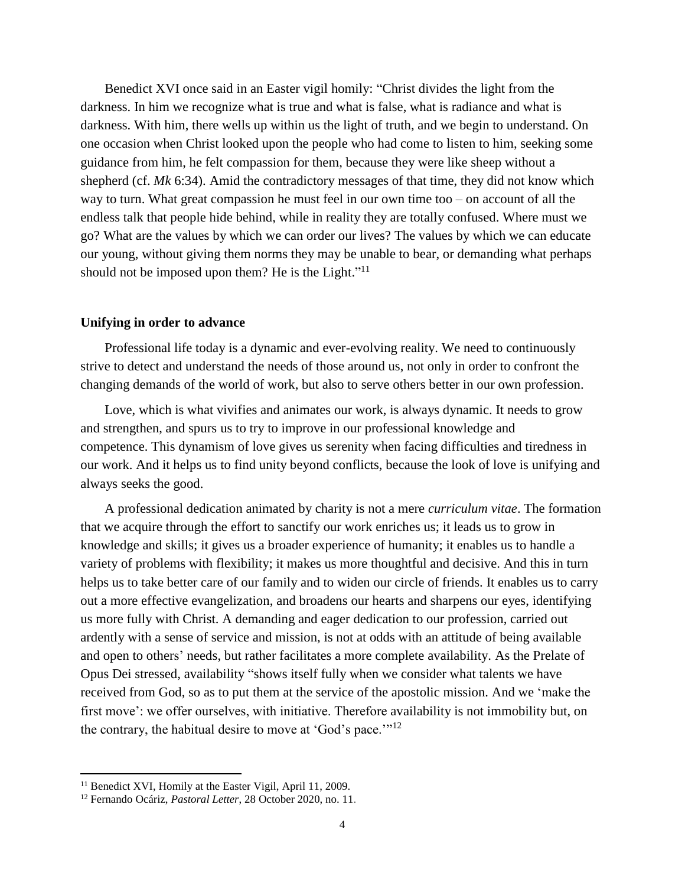Benedict XVI once said in an Easter vigil homily: "Christ divides the light from the darkness. In him we recognize what is true and what is false, what is radiance and what is darkness. With him, there wells up within us the light of truth, and we begin to understand. On one occasion when Christ looked upon the people who had come to listen to him, seeking some guidance from him, he felt compassion for them, because they were like sheep without a shepherd (cf. *Mk* 6:34). Amid the contradictory messages of that time, they did not know which way to turn. What great compassion he must feel in our own time too – on account of all the endless talk that people hide behind, while in reality they are totally confused. Where must we go? What are the values by which we can order our lives? The values by which we can educate our young, without giving them norms they may be unable to bear, or demanding what perhaps should not be imposed upon them? He is the Light."<sup>11</sup>

### **Unifying in order to advance**

Professional life today is a dynamic and ever-evolving reality. We need to continuously strive to detect and understand the needs of those around us, not only in order to confront the changing demands of the world of work, but also to serve others better in our own profession.

Love, which is what vivifies and animates our work, is always dynamic. It needs to grow and strengthen, and spurs us to try to improve in our professional knowledge and competence. This dynamism of love gives us serenity when facing difficulties and tiredness in our work. And it helps us to find unity beyond conflicts, because the look of love is unifying and always seeks the good.

A professional dedication animated by charity is not a mere *curriculum vitae*. The formation that we acquire through the effort to sanctify our work enriches us; it leads us to grow in knowledge and skills; it gives us a broader experience of humanity; it enables us to handle a variety of problems with flexibility; it makes us more thoughtful and decisive. And this in turn helps us to take better care of our family and to widen our circle of friends. It enables us to carry out a more effective evangelization, and broadens our hearts and sharpens our eyes, identifying us more fully with Christ. A demanding and eager dedication to our profession, carried out ardently with a sense of service and mission, is not at odds with an attitude of being available and open to others' needs, but rather facilitates a more complete availability. As the Prelate of Opus Dei stressed, availability "shows itself fully when we consider what talents we have received from God, so as to put them at the service of the apostolic mission. And we 'make the first move': we offer ourselves, with initiative. Therefore availability is not immobility but, on the contrary, the habitual desire to move at 'God's pace.'"<sup>12</sup>

 $\overline{a}$ 

<sup>&</sup>lt;sup>11</sup> Benedict XVI, Homily at the Easter Vigil, April 11, 2009.

<sup>12</sup> Fernando Ocáriz, *Pastoral Letter*, 28 October 2020, no. 11.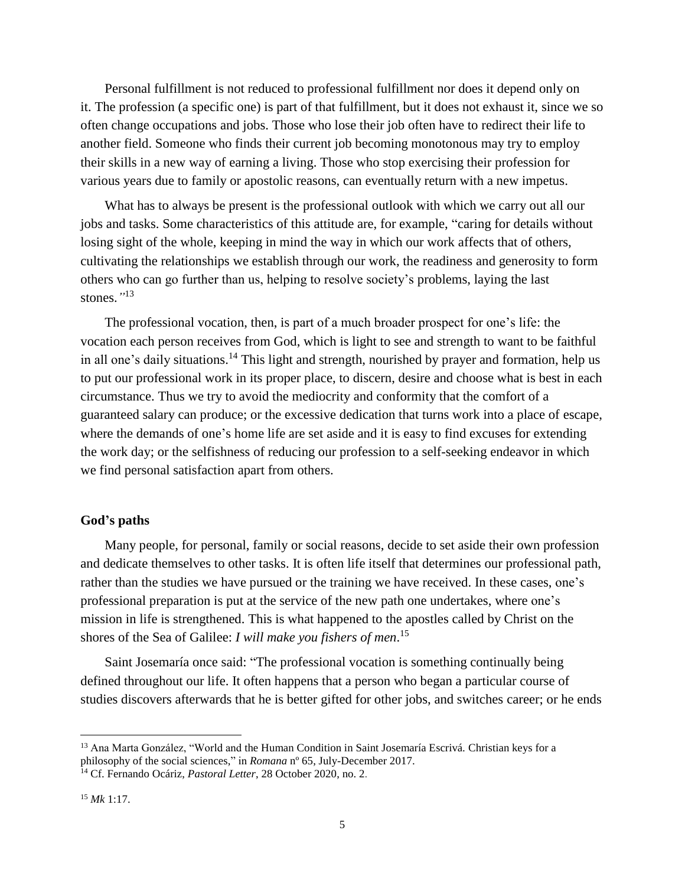Personal fulfillment is not reduced to professional fulfillment nor does it depend only on it. The profession (a specific one) is part of that fulfillment, but it does not exhaust it, since we so often change occupations and jobs. Those who lose their job often have to redirect their life to another field. Someone who finds their current job becoming monotonous may try to employ their skills in a new way of earning a living. Those who stop exercising their profession for various years due to family or apostolic reasons, can eventually return with a new impetus.

What has to always be present is the professional outlook with which we carry out all our jobs and tasks. Some characteristics of this attitude are, for example, "caring for details without losing sight of the whole, keeping in mind the way in which our work affects that of others, cultivating the relationships we establish through our work, the readiness and generosity to form others who can go further than us, helping to resolve society's problems, laying the last stones.*"* 13

The professional vocation, then, is part of a much broader prospect for one's life: the vocation each person receives from God, which is light to see and strength to want to be faithful in all one's daily situations.<sup>14</sup> This light and strength, nourished by prayer and formation, help us to put our professional work in its proper place, to discern, desire and choose what is best in each circumstance. Thus we try to avoid the mediocrity and conformity that the comfort of a guaranteed salary can produce; or the excessive dedication that turns work into a place of escape, where the demands of one's home life are set aside and it is easy to find excuses for extending the work day; or the selfishness of reducing our profession to a self-seeking endeavor in which we find personal satisfaction apart from others.

#### **God's paths**

Many people, for personal, family or social reasons, decide to set aside their own profession and dedicate themselves to other tasks. It is often life itself that determines our professional path, rather than the studies we have pursued or the training we have received. In these cases, one's professional preparation is put at the service of the new path one undertakes, where one's mission in life is strengthened. This is what happened to the apostles called by Christ on the shores of the Sea of Galilee: *I will make you fishers of men*. 15

Saint Josemaría once said: "The professional vocation is something continually being defined throughout our life. It often happens that a person who began a particular course of studies discovers afterwards that he is better gifted for other jobs, and switches career; or he ends

l

<sup>&</sup>lt;sup>13</sup> Ana Marta González, "World and the Human Condition in Saint Josemaría Escrivá. Christian keys for a philosophy of the social sciences," in *Romana* nº 65, July-December 2017.

<sup>14</sup> Cf. Fernando Ocáriz, *Pastoral Letter*, 28 October 2020, no. 2.